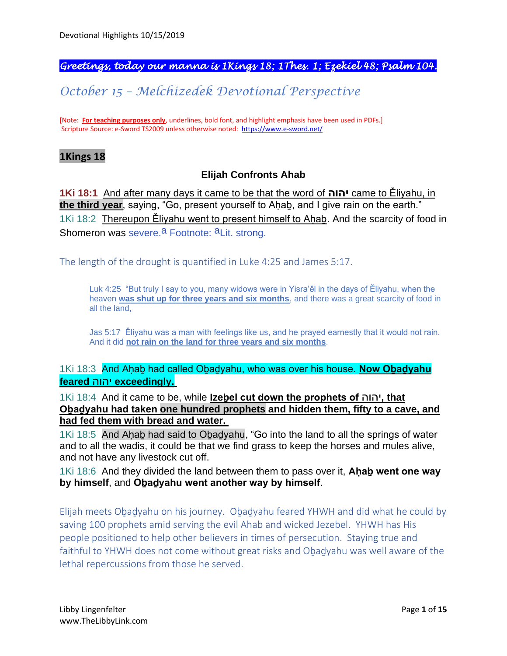### *Greetings, today our manna is 1Kings 18; 1Thes. 1; Ezekiel 48; Psalm 104.*

# *October 15 – Melchizedek Devotional Perspective*

[Note: **For teaching purposes only**, underlines, bold font, and highlight emphasis have been used in PDFs.] Scripture Source: e-Sword TS2009 unless otherwise noted: <https://www.e-sword.net/>

#### **1Kings 18**

#### **Elijah Confronts Ahab**

**1Ki 18:1** And after many days it came to be that the word of **יהוה** came to Ěliyahu, in **the third year**, saying, "Go, present yourself to Aḥaḇ, and I give rain on the earth." 1Ki 18:2 Thereupon Ěliyahu went to present himself to Ahab. And the scarcity of food in Shomeron was severe.<sup>a</sup> Footnote: <sup>a</sup>Lit. strong.

The length of the drought is quantified in Luke 4:25 and James 5:17.

Luk 4:25 "But truly I say to you, many widows were in Yisra'ěl in the days of Ěliyahu, when the heaven **was shut up for three years and six months**, and there was a great scarcity of food in all the land,

Jas 5:17 Ěliyahu was a man with feelings like us, and he prayed earnestly that it would not rain. And it did **not rain on the land for three years and six months**.

1Ki 18:3 And Aḥaḇ had called Oḇaḏyahu, who was over his house. **Now Oḇaḏyahu feared** יהוה **exceedingly.**

1Ki 18:4 And it came to be, while **Izeḇel cut down the prophets of** יהוה**, that Oḇaḏyahu had taken one hundred prophets and hidden them, fifty to a cave, and had fed them with bread and water.**

1Ki 18:5 And Aḥaḇ had said to Oḇaḏyahu, "Go into the land to all the springs of water and to all the wadis, it could be that we find grass to keep the horses and mules alive, and not have any livestock cut off.

1Ki 18:6 And they divided the land between them to pass over it, **Aḥaḇ went one way by himself**, and **Oḇaḏyahu went another way by himself**.

Elijah meets Oḇaḏyahu on his journey. Oḇaḏyahu feared YHWH and did what he could by saving 100 prophets amid serving the evil Ahab and wicked Jezebel. YHWH has His people positioned to help other believers in times of persecution. Staying true and faithful to YHWH does not come without great risks and Obadyahu was well aware of the lethal repercussions from those he served.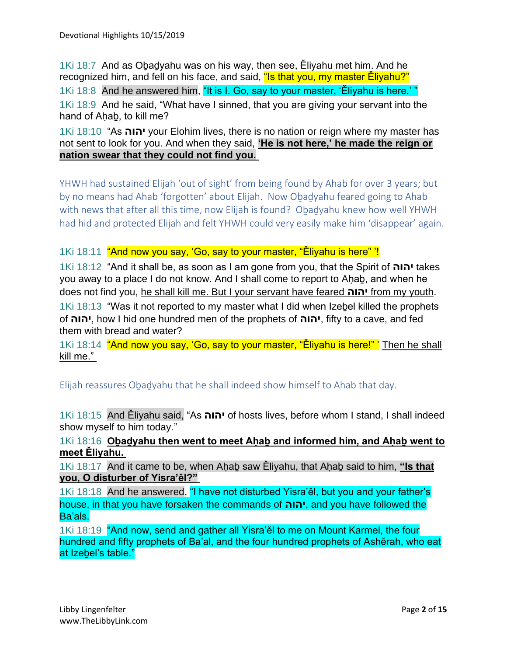1Ki 18:7 And as Oḇaḏyahu was on his way, then see, Ěliyahu met him. And he recognized him, and fell on his face, and said, "Is that you, my master Eliyahu?" 1Ki 18:8 And he answered him, "It is I. Go, say to your master, 'Ěliyahu is here.' " 1Ki 18:9 And he said, "What have I sinned, that you are giving your servant into the hand of Ahab, to kill me?

1Ki 18:10 "As **יהוה** your Elohim lives, there is no nation or reign where my master has not sent to look for you. And when they said, **'He is not here,' he made the reign or nation swear that they could not find you.**

YHWH had sustained Elijah 'out of sight' from being found by Ahab for over 3 years; but by no means had Ahab 'forgotten' about Elijah. Now Obadyahu feared going to Ahab with news that after all this time, now Elijah is found? Obadyahu knew how well YHWH had hid and protected Elijah and felt YHWH could very easily make him 'disappear' again.

1Ki 18:11 "And now you say, 'Go, say to your master, "Ěliyahu is here" '!

1Ki 18:12 "And it shall be, as soon as I am gone from you, that the Spirit of **יהוה** takes you away to a place I do not know. And I shall come to report to Aḥaḇ, and when he does not find you, he shall kill me. But I your servant have feared **יהוה** from my youth.

1Ki 18:13 "Was it not reported to my master what I did when Izebel killed the prophets of **יהוה**, how I hid one hundred men of the prophets of **יהוה**, fifty to a cave, and fed them with bread and water?

1Ki 18:14 "And now you say, 'Go, say to your master, "Eliyahu is here!" ' Then he shall kill me."

Elijah reassures Oḇaḏyahu that he shall indeed show himself to Ahab that day.

1Ki 18:15 And Ěliyahu said, "As **יהוה** of hosts lives, before whom I stand, I shall indeed show myself to him today."

1Ki 18:16 **Oḇaḏyahu then went to meet Aḥaḇ and informed him, and Aḥaḇ went to meet Ěliyahu.**

1Ki 18:17 And it came to be, when Aḥaḇ saw Ěliyahu, that Aḥaḇ said to him, **"Is that you, O disturber of Yisra'ěl?"**

1Ki 18:18 And he answered, "I have not disturbed Yisra'ěl, but you and your father's house, in that you have forsaken the commands of **יהוה**, and you have followed the Ba'als.

1Ki 18:19 "And now, send and gather all Yisra'ěl to me on Mount Karmel, the four hundred and fifty prophets of Ba'al, and the four hundred prophets of Ashěrah, who eat at Izebel's table."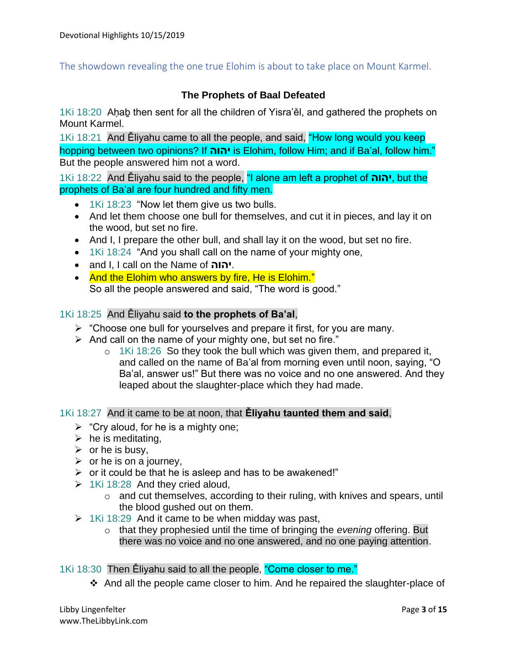The showdown revealing the one true Elohim is about to take place on Mount Karmel.

### **The Prophets of Baal Defeated**

1Ki 18:20 Aḥaḇ then sent for all the children of Yisra'ěl, and gathered the prophets on Mount Karmel.

1Ki 18:21 And Ěliyahu came to all the people, and said, "How long would you keep hopping between two opinions? If **יהוה** is Elohim, follow Him; and if Ba'al, follow him." But the people answered him not a word.

1Ki 18:22 And Ěliyahu said to the people, "I alone am left a prophet of **יהוה**, but the prophets of Ba'al are four hundred and fifty men.

- 1Ki 18:23 "Now let them give us two bulls.
- And let them choose one bull for themselves, and cut it in pieces, and lay it on the wood, but set no fire.
- And I, I prepare the other bull, and shall lay it on the wood, but set no fire.
- 1Ki 18:24 "And you shall call on the name of your mighty one,
- and I, I call on the Name of **יהוה**.
- And the Elohim who answers by fire, He is Elohim." So all the people answered and said, "The word is good."

#### 1Ki 18:25 And Ěliyahu said **to the prophets of Ba'al**,

- ➢ "Choose one bull for yourselves and prepare it first, for you are many.
- ➢ And call on the name of your mighty one, but set no fire."
	- o 1Ki 18:26 So they took the bull which was given them, and prepared it, and called on the name of Ba'al from morning even until noon, saying, "O Ba'al, answer us!" But there was no voice and no one answered. And they leaped about the slaughter-place which they had made.

#### 1Ki 18:27 And it came to be at noon, that **Ěliyahu taunted them and said**,

- $\triangleright$  "Cry aloud, for he is a mighty one;
- $\triangleright$  he is meditating,
- $\triangleright$  or he is busy,
- $\triangleright$  or he is on a journey,
- ➢ or it could be that he is asleep and has to be awakened!"
- $\geq$  1Ki 18:28 And they cried aloud,
	- o and cut themselves, according to their ruling, with knives and spears, until the blood gushed out on them.
- $\geq$  1Ki 18:29 And it came to be when midday was past,
	- o that they prophesied until the time of bringing the *evening* offering. But there was no voice and no one answered, and no one paying attention.

1Ki 18:30 Then Ěliyahu said to all the people, "Come closer to me."

❖ And all the people came closer to him. And he repaired the slaughter-place of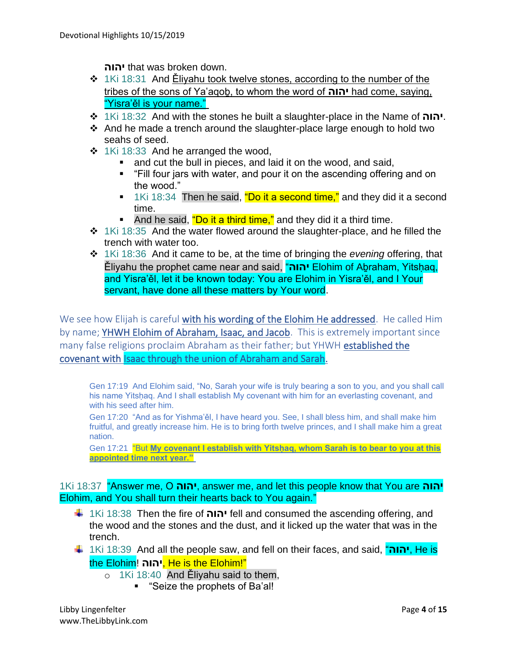**יהוה** that was broken down.

- ❖ 1Ki 18:31 And Ěliyahu took twelve stones, according to the number of the tribes of the sons of Ya'aqoḇ, to whom the word of **יהוה** had come, saying, "Yisra'ěl is your name."
- ❖ 1Ki 18:32 And with the stones he built a slaughter-place in the Name of **יהוה**.
- ❖ And he made a trench around the slaughter-place large enough to hold two seahs of seed.
- ❖ 1Ki 18:33 And he arranged the wood,
	- and cut the bull in pieces, and laid it on the wood, and said,
	- "Fill four jars with water, and pour it on the ascending offering and on the wood."
	- 1Ki 18:34 Then he said, "Do it a second time," and they did it a second time.
	- And he said, *"Do it a third time,"* and they did it a third time.
- ❖ 1Ki 18:35 And the water flowed around the slaughter-place, and he filled the trench with water too.
- ❖ 1Ki 18:36 And it came to be, at the time of bringing the *evening* offering, that Ěliyahu the prophet came near and said, "**יהוה** Elohim of Aḇraham, Yitsḥaq, and Yisra'ěl, let it be known today: You are Elohim in Yisra'ěl, and I Your servant, have done all these matters by Your word.

We see how Elijah is careful with his wording of the Elohim He addressed. He called Him by name; YHWH Elohim of Abraham, Isaac, and Jacob. This is extremely important since many false religions proclaim Abraham as their father; but YHWH established the covenant with Isaac through the union of Abraham and Sarah.

Gen 17:19 And Elohim said, "No, Sarah your wife is truly bearing a son to you, and you shall call his name Yitshaq. And I shall establish My covenant with him for an everlasting covenant, and with his seed after him.

Gen 17:20 "And as for Yishma'ěl, I have heard you. See, I shall bless him, and shall make him fruitful, and greatly increase him. He is to bring forth twelve princes, and I shall make him a great nation.

Gen 17:21 "But My covenant I establish with Yitshaq, whom Sarah is to bear to you at this **appointed time next year."**

1Ki 18:37 "Answer me, O **יהוה**, answer me, and let this people know that You are **יהוה** Elohim, and You shall turn their hearts back to You again."

- 1Ki 18:38 Then the fire of **יהוה** fell and consumed the ascending offering, and the wood and the stones and the dust, and it licked up the water that was in the trench.
- 1Ki 18:39 And all the people saw, and fell on their faces, and said, "**יהוה**, He is the Elohim! **יהוה**, He is the Elohim!"
	- o 1Ki 18:40 And Ěliyahu said to them,
		- "Seize the prophets of Ba'al!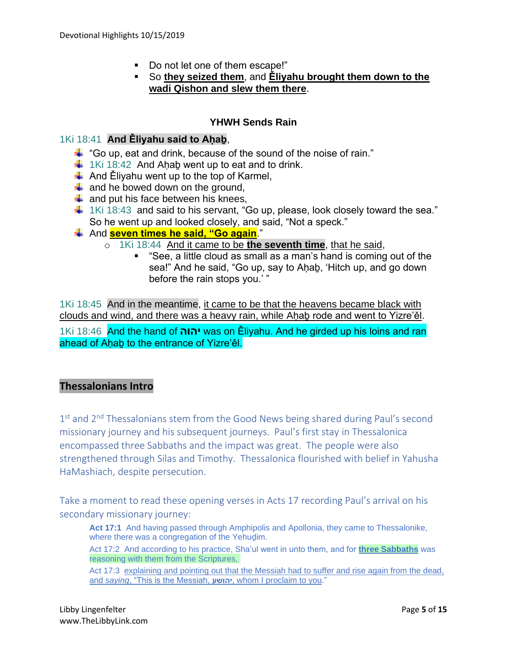- Do not let one of them escape!"
- So **they seized them**, and **Ěliyahu brought them down to the wadi Qishon and slew them there**.

### **YHWH Sends Rain**

#### 1Ki 18:41 **And Ěliyahu said to Aḥaḇ**,

- $\ddot$  "Go up, eat and drink, because of the sound of the noise of rain."
- $\frac{1}{2}$  1Ki 18:42 And Ahab went up to eat and to drink.
- $\downarrow$  And Eliyahu went up to the top of Karmel,
- $\frac{1}{2}$  and he bowed down on the ground,
- $\downarrow$  and put his face between his knees,
- $\ddot{+}$  1Ki 18:43 and said to his servant, "Go up, please, look closely toward the sea." So he went up and looked closely, and said, "Not a speck."
- And **seven times he said, "Go again**."
	- o 1Ki 18:44 And it came to be **the seventh time**, that he said,
		- "See, a little cloud as small as a man's hand is coming out of the sea!" And he said, "Go up, say to Aḥaḇ, 'Hitch up, and go down before the rain stops you.' "

1Ki 18:45 And in the meantime, it came to be that the heavens became black with clouds and wind, and there was a heavy rain, while Ahab rode and went to Yizre'ěl. 1Ki 18:46 And the hand of **יהוה** was on Ěliyahu. And he girded up his loins and ran ahead of Ahab to the entrance of Yizre'ěl.

### **Thessalonians Intro**

1<sup>st</sup> and 2<sup>nd</sup> Thessalonians stem from the Good News being shared during Paul's second missionary journey and his subsequent journeys. Paul's first stay in Thessalonica encompassed three Sabbaths and the impact was great. The people were also strengthened through Silas and Timothy. Thessalonica flourished with belief in Yahusha HaMashiach, despite persecution.

Take a moment to read these opening verses in Acts 17 recording Paul's arrival on his secondary missionary journey:

Act 17:1 And having passed through Amphipolis and Apollonia, they came to Thessalonike, where there was a congregation of the Yehuḏim.

Act 17:2 And according to his practice, Sha'ul went in unto them, and for **three Sabbaths** was reasoning with them from the Scriptures,

Act 17:3 explaining and pointing out that the Messiah had to suffer and rise again from the dead, and *saying*, "This is the Messiah, **יהושע**, whom I proclaim to you."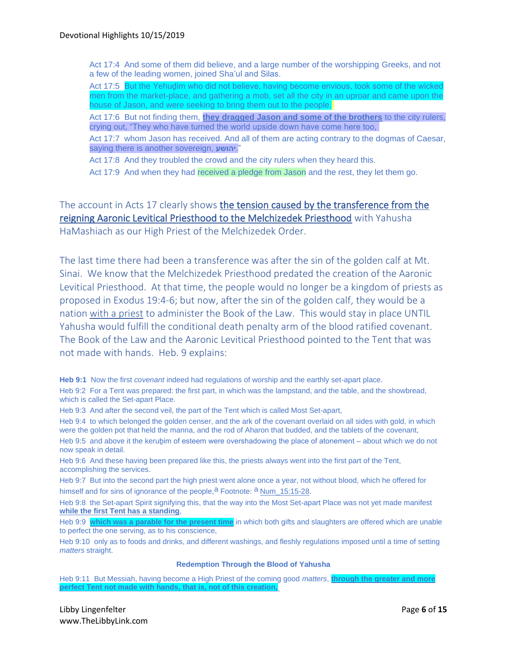Act 17:4 And some of them did believe, and a large number of the worshipping Greeks, and not a few of the leading women, joined Sha'ul and Silas.

Act 17:5 But the Yehuḏim who did not believe, having become envious, took some of the wicked men from the market-place, and gathering a mob, set all the city in an uproar and came upon the house of Jason, and were seeking to bring them out to the people.

Act 17:6 But not finding them, **they dragged Jason and some of the brothers** to the city rulers, crying out, "They who have turned the world upside down have come here too,

Act 17:7 whom Jason has received. And all of them are acting contrary to the dogmas of Caesar, saying there is another sovereign, **יהושע**."

Act 17:8 And they troubled the crowd and the city rulers when they heard this.

Act 17:9 And when they had received a pledge from Jason and the rest, they let them go.

The account in Acts 17 clearly shows the tension caused by the transference from the reigning Aaronic Levitical Priesthood to the Melchizedek Priesthood with Yahusha HaMashiach as our High Priest of the Melchizedek Order.

The last time there had been a transference was after the sin of the golden calf at Mt. Sinai. We know that the Melchizedek Priesthood predated the creation of the Aaronic Levitical Priesthood. At that time, the people would no longer be a kingdom of priests as proposed in Exodus 19:4-6; but now, after the sin of the golden calf, they would be a nation with a priest to administer the Book of the Law. This would stay in place UNTIL Yahusha would fulfill the conditional death penalty arm of the blood ratified covenant. The Book of the Law and the Aaronic Levitical Priesthood pointed to the Tent that was not made with hands. Heb. 9 explains:

**Heb 9:1** Now the first *covenant* indeed had regulations of worship and the earthly set-apart place.

Heb 9:2 For a Tent was prepared: the first part, in which was the lampstand, and the table, and the showbread, which is called the Set-apart Place.

Heb 9:3 And after the second veil, the part of the Tent which is called Most Set-apart,

Heb 9:4 to which belonged the golden censer, and the ark of the covenant overlaid on all sides with gold, in which were the golden pot that held the manna, and the rod of Aharon that budded, and the tablets of the covenant, Heb 9:5 and above it the kerubim of esteem were overshadowing the place of atonement – about which we do not now speak in detail.

Heb 9:6 And these having been prepared like this, the priests always went into the first part of the Tent, accomplishing the services.

Heb 9:7 But into the second part the high priest went alone once a year, not without blood, which he offered for himself and for sins of ignorance of the people, $a$  Footnote:  $a$  Num\_15:15-28.

Heb 9:8 the Set-apart Spirit signifying this, that the way into the Most Set-apart Place was not yet made manifest **while the first Tent has a standing**,

Heb 9:9 **which was a parable for the present time** in which both gifts and slaughters are offered which are unable to perfect the one serving, as to his conscience,

Heb 9:10 only as to foods and drinks, and different washings, and fleshly regulations imposed until a time of setting *matters* straight.

#### **Redemption Through the Blood of Yahusha**

Heb 9:11 But Messiah, having become a High Priest of the coming good *matters*, **through the greater and more perfect Tent not made with hands, that is, not of this creation,**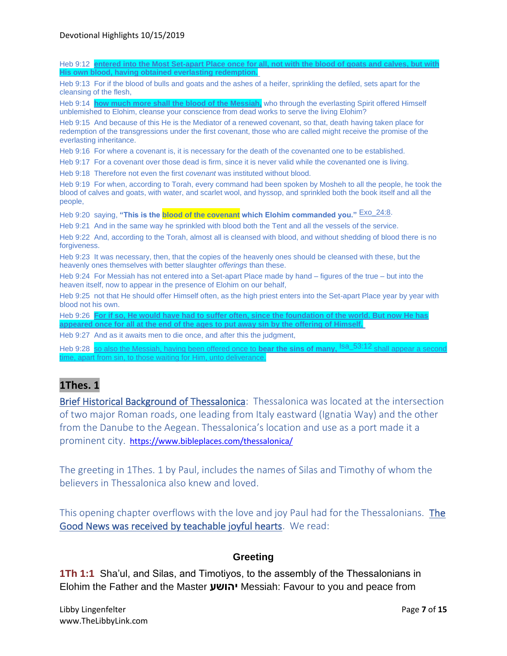Heb 9:12 **entered into the Most Set-apart Place once for all, not with the blood of goat His own blood, having obtained everlasting redemption.** Heb 9:13 For if the blood of bulls and goats and the ashes of a heifer, sprinkling the defiled, sets apart for the cleansing of the flesh, Heb 9:14 **how much more shall the blood of the Messiah,** who through the everlasting Spirit offered Himself unblemished to Elohim, cleanse your conscience from dead works to serve the living Elohim? Heb 9:15 And because of this He is the Mediator of a renewed covenant, so that, death having taken place for redemption of the transgressions under the first covenant, those who are called might receive the promise of the everlasting inheritance. Heb 9:16 For where a covenant is, it is necessary for the death of the covenanted one to be established. Heb 9:17 For a covenant over those dead is firm, since it is never valid while the covenanted one is living. Heb 9:18 Therefore not even the first *covenant* was instituted without blood. Heb 9:19 For when, according to Torah, every command had been spoken by Mosheh to all the people, he took the blood of calves and goats, with water, and scarlet wool, and hyssop, and sprinkled both the book itself and all the people, Heb 9:20 saying, **"This is the blood of the covenant which Elohim commanded you."** Exo\_24:8. Heb 9:21 And in the same way he sprinkled with blood both the Tent and all the vessels of the service. Heb 9:22 And, according to the Torah, almost all is cleansed with blood, and without shedding of blood there is no forgiveness. Heb 9:23 It was necessary, then, that the copies of the heavenly ones should be cleansed with these, but the heavenly ones themselves with better slaughter *offerings* than these. Heb 9:24 For Messiah has not entered into a Set-apart Place made by hand – figures of the true – but into the heaven itself, now to appear in the presence of Elohim on our behalf, Heb 9:25 not that He should offer Himself often, as the high priest enters into the Set-apart Place year by year with blood not his own. Heb 9:26 **For if so, He would have had to suffer often, since the foundation of the world. But now He has appeared once for all at the end of the ages to put away sin by the offering of Himself.** Heb 9:27 And as it awaits men to die once, and after this the judgment, Heb 9:28 so also the Messiah, having been offered once to **bear the sins of many**, <sup>Isa\_53:12</sup> shall appear a seco apart from sin, to those waiting for Him, unto deliverance. **1Thes. 1**  Brief Historical Background of Thessalonica: Thessalonica was located at the intersection of two major Roman roads, one leading from Italy eastward (Ignatia Way) and the other from the Danube to the Aegean. Thessalonica's location and use as a port made it a

prominent city. <https://www.bibleplaces.com/thessalonica/>

The greeting in 1Thes. 1 by Paul, includes the names of Silas and Timothy of whom the believers in Thessalonica also knew and loved.

This opening chapter overflows with the love and joy Paul had for the Thessalonians. The Good News was received by teachable joyful hearts. We read:

#### **Greeting**

**1Th 1:1** Sha'ul, and Silas, and Timotiyos, to the assembly of the Thessalonians in Elohim the Father and the Master **יהושע** Messiah: Favour to you and peace from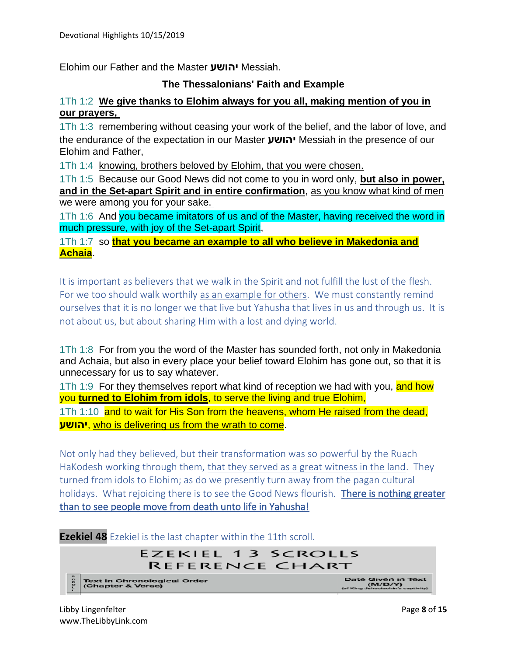Elohim our Father and the Master **יהושע** Messiah.

#### **The Thessalonians' Faith and Example**

#### 1Th 1:2 **We give thanks to Elohim always for you all, making mention of you in our prayers,**

1Th 1:3 remembering without ceasing your work of the belief, and the labor of love, and the endurance of the expectation in our Master **יהושע** Messiah in the presence of our Elohim and Father,

1Th 1:4 knowing, brothers beloved by Elohim, that you were chosen.

1Th 1:5 Because our Good News did not come to you in word only, **but also in power, and in the Set-apart Spirit and in entire confirmation**, as you know what kind of men we were among you for your sake.

1Th 1:6 And you became imitators of us and of the Master, having received the word in much pressure, with joy of the Set-apart Spirit,

1Th 1:7 so **that you became an example to all who believe in Makedonia and Achaia**.

It is important as believers that we walk in the Spirit and not fulfill the lust of the flesh. For we too should walk worthily as an example for others. We must constantly remind ourselves that it is no longer we that live but Yahusha that lives in us and through us. It is not about us, but about sharing Him with a lost and dying world.

1Th 1:8 For from you the word of the Master has sounded forth, not only in Makedonia and Achaia, but also in every place your belief toward Elohim has gone out, so that it is unnecessary for us to say whatever.

1Th 1:9 For they themselves report what kind of reception we had with you, and how you **turned to Elohim from idols**, to serve the living and true Elohim,

1Th 1:10 and to wait for His Son from the heavens, whom He raised from the dead, **יהושע**, who is delivering us from the wrath to come.

Not only had they believed, but their transformation was so powerful by the Ruach HaKodesh working through them, that they served as a great witness in the land. They turned from idols to Elohim; as do we presently turn away from the pagan cultural holidays. What rejoicing there is to see the Good News flourish. There is nothing greater than to see people move from death unto life in Yahusha!

#### **Ezekiel 48** Ezekiel is the last chapter within the 11th scroll.

## EZEKIEL 13 SCROLLS REFERENCE CHART

Text in Chronological Order<br>(Chapter & Verse)

Date Given in Text<br>(M/D/Y)<br>(of King Jehociachin's captivity)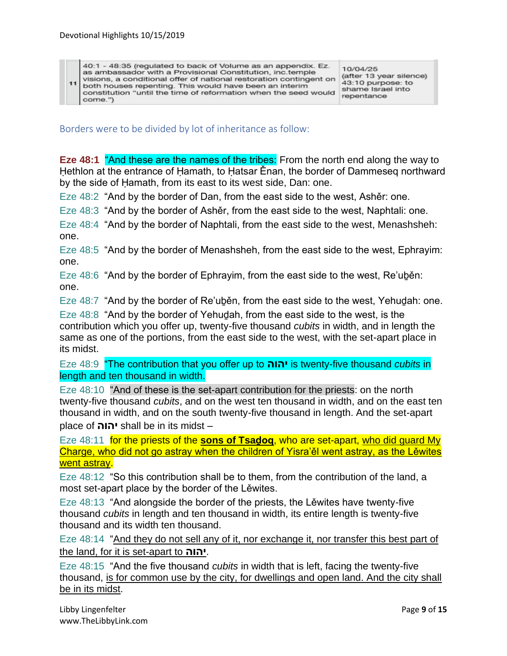40:1 - 48:35 (regulated to back of Volume as an appendix. Ez. as ambassador with a Provisional Constitution, inc.temple visions, a conditional offer of national restoration contingent on  $11$ both houses repenting. This would have been an interim constitution "until the time of reformation when the seed would come.")

10/04/25 (after 13 year silence) 43:10 purpose: to shame Israel into repentance

Borders were to be divided by lot of inheritance as follow:

**Eze 48:1** "And these are the names of the tribes: From the north end along the way to Hethlon at the entrance of Hamath, to Hatsar Ěnan, the border of Dammeseg northward by the side of Ḥamath, from its east to its west side, Dan: one.

Eze 48:2 "And by the border of Dan, from the east side to the west, Ashěr: one.

Eze 48:3 "And by the border of Ashěr, from the east side to the west, Naphtali: one.

Eze 48:4 "And by the border of Naphtali, from the east side to the west, Menashsheh: one.

Eze 48:5 "And by the border of Menashsheh, from the east side to the west, Ephrayim: one.

Eze 48:6 "And by the border of Ephrayim, from the east side to the west, Re'uḇěn: one.

Eze 48:7 "And by the border of Re'uḇěn, from the east side to the west, Yehuḏah: one.

Eze 48:8 "And by the border of Yehudah, from the east side to the west, is the contribution which you offer up, twenty-five thousand *cubits* in width, and in length the same as one of the portions, from the east side to the west, with the set-apart place in its midst.

Eze 48:9 "The contribution that you offer up to **יהוה** is twenty-five thousand *cubits* in length and ten thousand in width.

Eze 48:10 "And of these is the set-apart contribution for the priests: on the north twenty-five thousand *cubits*, and on the west ten thousand in width, and on the east ten thousand in width, and on the south twenty-five thousand in length. And the set-apart place of **יהוה** shall be in its midst –

Eze 48:11 for the priests of the **sons of Tsaḏoq**, who are set-apart, who did guard My Charge, who did not go astray when the children of Yisra'ěl went astray, as the Lěwites went astray.

Eze 48:12 "So this contribution shall be to them, from the contribution of the land, a most set-apart place by the border of the Lěwites.

Eze 48:13 "And alongside the border of the priests, the Lěwites have twenty-five thousand *cubits* in length and ten thousand in width, its entire length is twenty-five thousand and its width ten thousand.

Eze 48:14 "And they do not sell any of it, nor exchange it, nor transfer this best part of the land, for it is set-apart to **יהוה**.

Eze 48:15 "And the five thousand *cubits* in width that is left, facing the twenty-five thousand, is for common use by the city, for dwellings and open land. And the city shall be in its midst.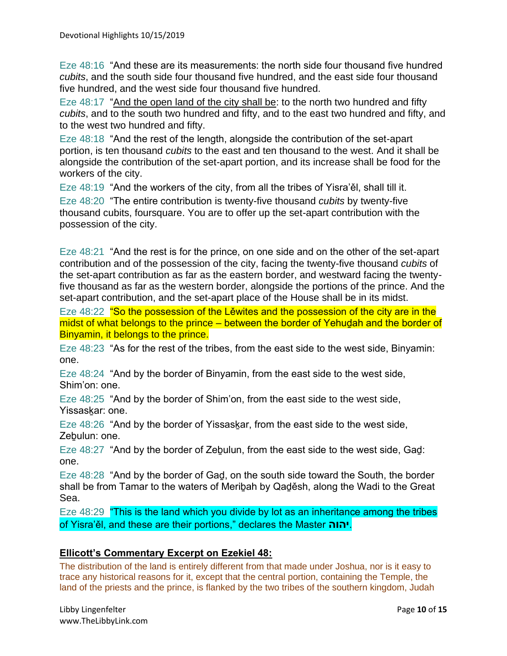Eze 48:16 "And these are its measurements: the north side four thousand five hundred *cubits*, and the south side four thousand five hundred, and the east side four thousand five hundred, and the west side four thousand five hundred.

Eze 48:17 "And the open land of the city shall be: to the north two hundred and fifty *cubits*, and to the south two hundred and fifty, and to the east two hundred and fifty, and to the west two hundred and fifty.

Eze 48:18 "And the rest of the length, alongside the contribution of the set-apart portion, is ten thousand *cubits* to the east and ten thousand to the west. And it shall be alongside the contribution of the set-apart portion, and its increase shall be food for the workers of the city.

Eze 48:19 "And the workers of the city, from all the tribes of Yisra'ěl, shall till it. Eze 48:20 "The entire contribution is twenty-five thousand *cubits* by twenty-five thousand cubits, foursquare. You are to offer up the set-apart contribution with the

possession of the city.

Eze 48:21 "And the rest is for the prince, on one side and on the other of the set-apart contribution and of the possession of the city, facing the twenty-five thousand *cubits* of the set-apart contribution as far as the eastern border, and westward facing the twentyfive thousand as far as the western border, alongside the portions of the prince. And the set-apart contribution, and the set-apart place of the House shall be in its midst.

Eze 48:22 "So the possession of the Lewites and the possession of the city are in the midst of what belongs to the prince – between the border of Yehuḏah and the border of Binyamin, it belongs to the prince.

Eze 48:23 "As for the rest of the tribes, from the east side to the west side, Binyamin: one.

Eze 48:24 "And by the border of Binyamin, from the east side to the west side, Shim'on: one.

Eze 48:25 "And by the border of Shim'on, from the east side to the west side, Yissaskar: one.

Eze 48:26 "And by the border of Yissaskar, from the east side to the west side, Zebulun: one.

Eze 48:27 "And by the border of Zeḇulun, from the east side to the west side, Gaḏ: one.

Eze 48:28 "And by the border of Gaḏ, on the south side toward the South, the border shall be from Tamar to the waters of Meriḇah by Qaḏěsh, along the Wadi to the Great Sea.

Eze 48:29 "This is the land which you divide by lot as an inheritance among the tribes of Yisra'ěl, and these are their portions," declares the Master **יהוה**.

#### **Ellicott's Commentary Excerpt on Ezekiel 48:**

The distribution of the land is entirely different from that made under Joshua, nor is it easy to trace any historical reasons for it, except that the central portion, containing the Temple, the land of the priests and the prince, is flanked by the two tribes of the southern kingdom, Judah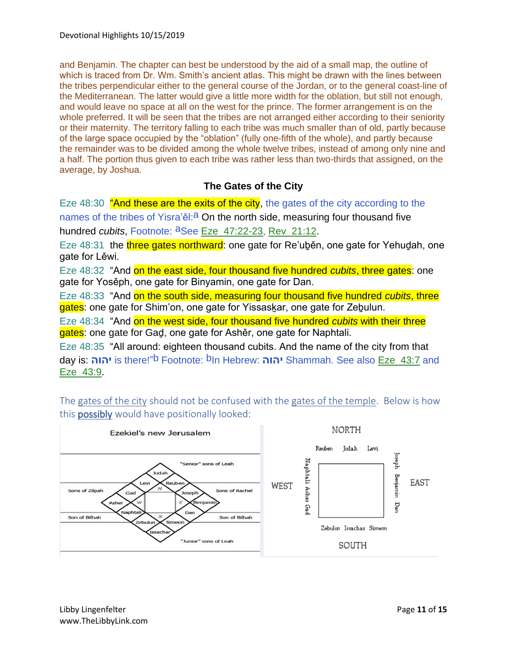and Benjamin. The chapter can best be understood by the aid of a small map, the outline of which is traced from Dr. Wm. Smith's ancient atlas. This might be drawn with the lines between the tribes perpendicular either to the general course of the Jordan, or to the general coast-line of the Mediterranean. The latter would give a little more width for the oblation, but still not enough, and would leave no space at all on the west for the prince. The former arrangement is on the whole preferred. It will be seen that the tribes are not arranged either according to their seniority or their maternity. The territory falling to each tribe was much smaller than of old, partly because of the large space occupied by the "oblation" (fully one-fifth of the whole), and partly because the remainder was to be divided among the whole twelve tribes, instead of among only nine and a half. The portion thus given to each tribe was rather less than two-thirds that assigned, on the average, by Joshua.

### **The Gates of the City**

Eze 48:30 "And these are the exits of the city, the gates of the city according to the names of the tribes of Yisra'ěl: $a$  On the north side, measuring four thousand five hundred *cubits*, Footnote: <sup>a</sup>See Eze\_47:22-23, Rev\_21:12.

Eze 48:31 the three gates northward: one gate for Re'uben, one gate for Yehudah, one gate for Lěwi.

Eze 48:32 "And on the east side, four thousand five hundred *cubits*, three gates: one gate for Yosěph, one gate for Binyamin, one gate for Dan.

Eze 48:33 "And on the south side, measuring four thousand five hundred *cubits*, three gates: one gate for Shim'on, one gate for Yissaskar, one gate for Zebulun.

Eze 48:34 "And on the west side, four thousand five hundred *cubits* with their three gates: one gate for Gad, one gate for Ashěr, one gate for Naphtali.

Eze 48:35 "All around: eighteen thousand cubits. And the name of the city from that day is: **יהוה** is there!"b Footnote: bIn Hebrew: **יהוה** Shammah. See also Eze\_43:7 and Eze\_43:9.

The gates of the city should not be confused with the gates of the temple. Below is how this **possibly** would have positionally looked:

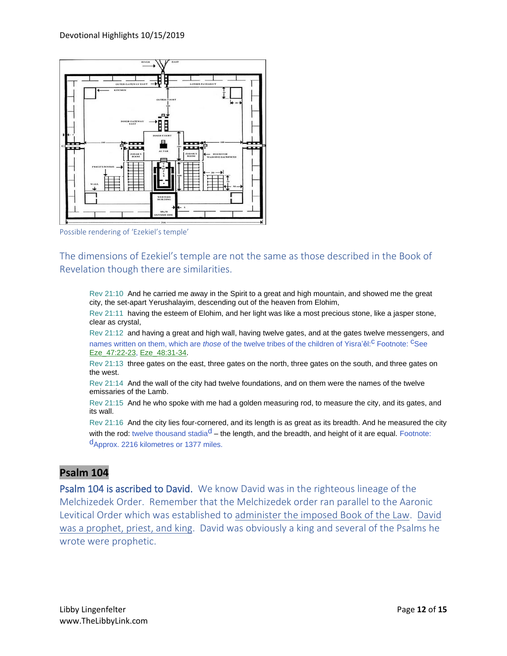

Possible rendering of 'Ezekiel's temple'

The dimensions of Ezekiel's temple are not the same as those described in the Book of Revelation though there are similarities.

Rev 21:10 And he carried me away in the Spirit to a great and high mountain, and showed me the great city, the set-apart Yerushalayim, descending out of the heaven from Elohim,

Rev 21:11 having the esteem of Elohim, and her light was like a most precious stone, like a jasper stone, clear as crystal,

Rev 21:12 and having a great and high wall, having twelve gates, and at the gates twelve messengers, and names written on them, which are *those* of the twelve tribes of the children of Yisra'ěl:<sup>C</sup> Footnote: <sup>C</sup>See Eze\_47:22-23, Eze\_48:31-34.

Rev 21:13 three gates on the east, three gates on the north, three gates on the south, and three gates on the west.

Rev 21:14 And the wall of the city had twelve foundations, and on them were the names of the twelve emissaries of the Lamb.

Rev 21:15 And he who spoke with me had a golden measuring rod, to measure the city, and its gates, and its wall.

Rev 21:16 And the city lies four-cornered, and its length is as great as its breadth. And he measured the city with the rod: twelve thousand stadia<sup>d</sup> – the length, and the breadth, and height of it are equal. Footnote: dApprox. 2216 kilometres or 1377 miles.

#### **Psalm 104**

Psalm 104 is ascribed to David. We know David was in the righteous lineage of the Melchizedek Order. Remember that the Melchizedek order ran parallel to the Aaronic Levitical Order which was established to administer the imposed Book of the Law. David was a prophet, priest, and king. David was obviously a king and several of the Psalms he wrote were prophetic.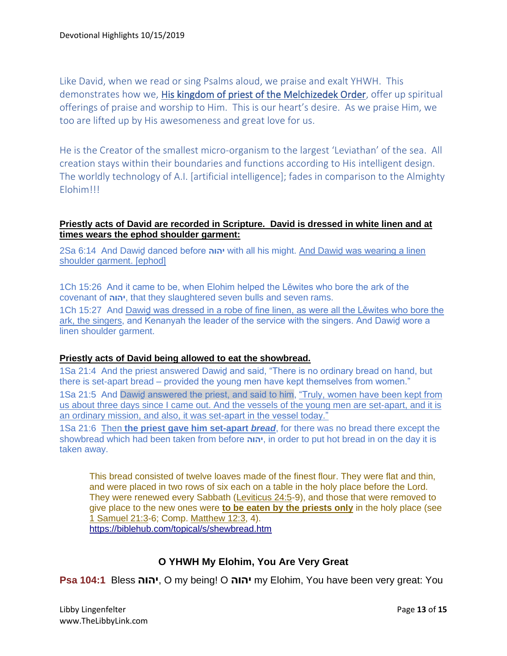Like David, when we read or sing Psalms aloud, we praise and exalt YHWH. This demonstrates how we, His kingdom of priest of the Melchizedek Order, offer up spiritual offerings of praise and worship to Him. This is our heart's desire. As we praise Him, we too are lifted up by His awesomeness and great love for us.

He is the Creator of the smallest micro-organism to the largest 'Leviathan' of the sea. All creation stays within their boundaries and functions according to His intelligent design. The worldly technology of A.I. [artificial intelligence]; fades in comparison to the Almighty Elohim!!!

#### **Priestly acts of David are recorded in Scripture. David is dressed in white linen and at times wears the ephod shoulder garment:**

2Sa 6:14 And Dawiḏ danced before **יהוה** with all his might. And Dawiḏ was wearing a linen shoulder garment. [ephod]

1Ch 15:26 And it came to be, when Elohim helped the Lěwites who bore the ark of the covenant of **יהוה**, that they slaughtered seven bulls and seven rams.

1Ch 15:27 And Dawiḏ was dressed in a robe of fine linen, as were all the Lěwites who bore the ark, the singers, and Kenanyah the leader of the service with the singers. And Dawiḏ wore a linen shoulder garment.

#### **Priestly acts of David being allowed to eat the showbread.**

1Sa 21:4 And the priest answered Dawid and said, "There is no ordinary bread on hand, but there is set-apart bread – provided the young men have kept themselves from women." 1Sa 21:5 And Dawid answered the priest, and said to him, "Truly, women have been kept from us about three days since I came out. And the vessels of the young men are set-apart, and it is an ordinary mission, and also, it was set-apart in the vessel today."

1Sa 21:6 Then **the priest gave him set-apart** *bread*, for there was no bread there except the showbread which had been taken from before **יהוה**, in order to put hot bread in on the day it is taken away.

This bread consisted of twelve loaves made of the finest flour. They were flat and thin, and were placed in two rows of six each on a table in the holy place before the Lord. They were renewed every Sabbath [\(Leviticus 24:5-](https://biblehub.com/leviticus/24-5.htm)9), and those that were removed to give place to the new ones were **to be eaten by the priests only** in the holy place (see [1 Samuel 21:3-](https://biblehub.com/1_samuel/21-3.htm)6; Comp. [Matthew 12:3,](https://biblehub.com/matthew/12-3.htm) 4). <https://biblehub.com/topical/s/shewbread.htm>

#### **O YHWH My Elohim, You Are Very Great**

**Psa 104:1** Bless **יהוה**, O my being! O **יהוה** my Elohim, You have been very great: You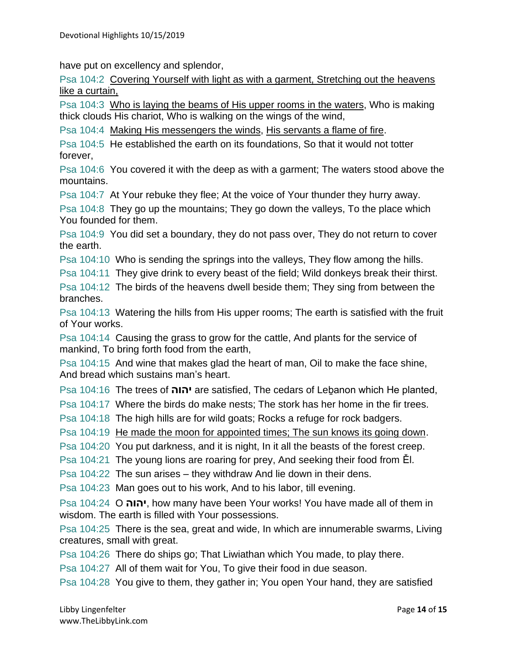have put on excellency and splendor,

Psa 104:2 Covering Yourself with light as with a garment, Stretching out the heavens like a curtain,

Psa 104:3 Who is laying the beams of His upper rooms in the waters, Who is making thick clouds His chariot, Who is walking on the wings of the wind,

Psa 104:4 Making His messengers the winds, His servants a flame of fire.

Psa 104:5 He established the earth on its foundations, So that it would not totter forever,

Psa 104:6 You covered it with the deep as with a garment; The waters stood above the mountains.

Psa 104:7 At Your rebuke they flee; At the voice of Your thunder they hurry away.

Psa 104:8 They go up the mountains; They go down the valleys, To the place which You founded for them.

Psa 104:9 You did set a boundary, they do not pass over, They do not return to cover the earth.

Psa 104:10 Who is sending the springs into the valleys, They flow among the hills.

Psa 104:11 They give drink to every beast of the field; Wild donkeys break their thirst.

Psa 104:12 The birds of the heavens dwell beside them; They sing from between the branches.

Psa 104:13 Watering the hills from His upper rooms; The earth is satisfied with the fruit of Your works.

Psa 104:14 Causing the grass to grow for the cattle, And plants for the service of mankind, To bring forth food from the earth,

Psa 104:15 And wine that makes glad the heart of man, Oil to make the face shine, And bread which sustains man's heart.

Psa 104:16 The trees of **יהוה** are satisfied, The cedars of Leḇanon which He planted,

Psa 104:17 Where the birds do make nests; The stork has her home in the fir trees.

Psa 104:18 The high hills are for wild goats; Rocks a refuge for rock badgers.

Psa 104:19 He made the moon for appointed times; The sun knows its going down.

Psa 104:20 You put darkness, and it is night, In it all the beasts of the forest creep.

Psa 104:21 The young lions are roaring for prey, And seeking their food from Ěl.

Psa 104:22 The sun arises – they withdraw And lie down in their dens.

Psa 104:23 Man goes out to his work, And to his labor, till evening.

Psa 104:24 O **יהוה**, how many have been Your works! You have made all of them in wisdom. The earth is filled with Your possessions.

Psa 104:25 There is the sea, great and wide, In which are innumerable swarms, Living creatures, small with great.

Psa 104:26 There do ships go; That Liwiathan which You made, to play there.

Psa 104:27 All of them wait for You, To give their food in due season.

Psa 104:28 You give to them, they gather in; You open Your hand, they are satisfied